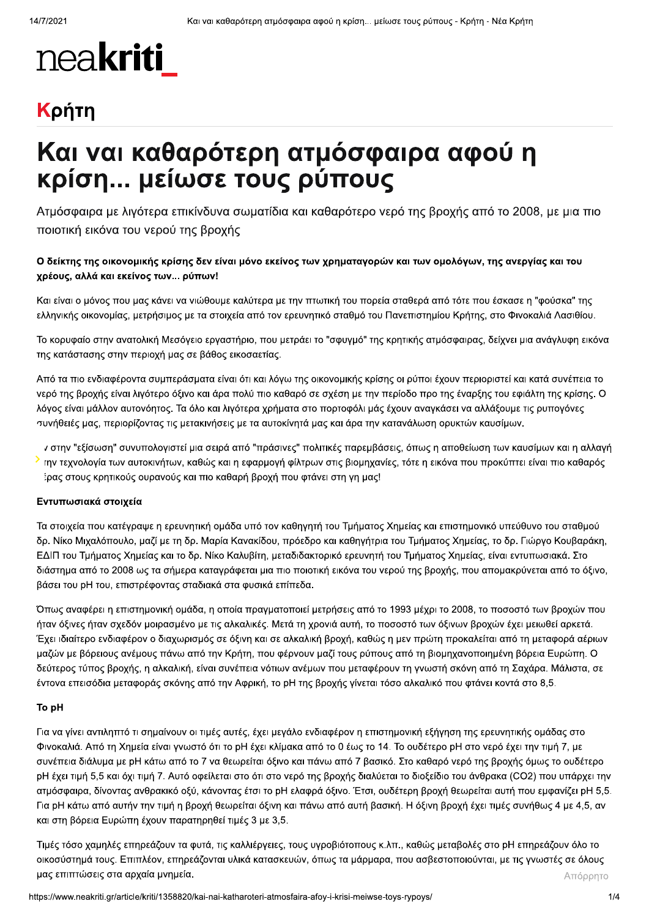# nea**kriti**

# Κρήτη

# Και ναι καθαρότερη ατμόσφαιρα αφού η κρίση... μείωσε τους ρύπους

Ατμόσφαιρα με λιγότερα επικίνδυνα σωματίδια και καθαρότερο νερό της βροχής από το 2008, με μια πιο ποιοτική εικόνα του νερού της βροχής

### Ο δείκτης της οικονομικής κρίσης δεν είναι μόνο εκείνος των χρηματαγορών και των ομολόγων, της ανεργίας και του χρέους, αλλά και εκείνος των... ρύπων!

Και είναι ο μόνος που μας κάνει να νιώθουμε καλύτερα με την πτωτική του πορεία σταθερά από τότε που έσκασε η "φούσκα" της ελληνικής οικονομίας, μετρήσιμος με τα στοιχεία από τον ερευνητικό σταθμό του Πανεπιστημίου Κρήτης, στο Φινοκαλιά Λασιθίου.

Το κορυφαίο στην ανατολική Μεσόγειο εργαστήριο, που μετράει το "σφυγμό" της κρητικής ατμόσφαιρας, δείχνει μια ανάγλυφη εικόνα της κατάστασης στην περιοχή μας σε βάθος εικοσαετίας.

Από τα πιο ενδιαφέροντα συμπεράσματα είναι ότι και λόγω της οικονομικής κρίσης οι ρύποι έχουν περιοριστεί και κατά συνέπεια το νερό της βροχής είναι λιγότερο όξινο και άρα πολύ πιο καθαρό σε σχέση με την περίοδο προ της έναρξης του εφιάλτη της κρίσης. Ο λόγος είναι μάλλον αυτονόητος. Τα όλο και λιγότερα χρήματα στο πορτοφόλι μάς έχουν αναγκάσει να αλλάξουμε τις ρυπογόνες συνήθειές μας, περιορίζοντας τις μετακινήσεις με τα αυτοκίνητά μας και άρα την κατανάλωση ορυκτών καυσίμων.

ν στην "εξίσωση" συνυπολογιστεί μια σειρά από "πράσινες" πολιτικές παρεμβάσεις, όπως η αποθείωση των καυσίμων και η αλλαγή › την τεχνολογία των αυτοκινήτων, καθώς και η εφαρμογή φίλτρων στις βιομηχανίες, τότε η εικόνα που προκύπτει είναι πιο καθαρός έρας στους κρητικούς ουρανούς και πιο καθαρή βροχή που φτάνει στη γη μας!

### Εντυπωσιακά στοιχεία

Τα στοιχεία που κατέγραψε η ερευνητική ομάδα υπό τον καθηγητή του Τμήματος Χημείας και επιστημονικό υπεύθυνο του σταθμού δρ. Νίκο Μιχαλόπουλο, μαζί με τη δρ. Μαρία Κανακίδου, πρόεδρο και καθηγήτρια του Τμήματος Χημείας, το δρ. Γιώργο Κουβαράκη, ΕΔΙΠ του Τμήματος Χημείας και το δρ. Νίκο Καλυβίτη, μεταδιδακτορικό ερευνητή του Τμήματος Χημείας, είναι εντυπωσιακά. Στο διάστημα από το 2008 ως τα σήμερα καταγράφεται μια πιο ποιοτική εικόνα του νερού της βροχής, που απομακρύνεται από το όξινο, βάσει του pH του, επιστρέφοντας σταδιακά στα φυσικά επίπεδα.

Όπως αναφέρει η επιστημονική ομάδα, η οποία πραγματοποιεί μετρήσεις από το 1993 μέχρι το 2008, το ποσοστό των βροχών που ήταν όξινες ήταν σχεδόν μοιρασμένο με τις αλκαλικές. Μετά τη χρονιά αυτή, το ποσοστό των όξινων βροχών έχει μειωθεί αρκετά. Έχει ιδιαίτερο ενδιαφέρον ο διαχωρισμός σε όξινη και σε αλκαλική βροχή, καθώς η μεν πρώτη προκαλείται από τη μεταφορά αέριων μαζών με βόρειους ανέμους πάνω από την Κρήτη, που φέρνουν μαζί τους ρύπους από τη βιομηχανοποιημένη βόρεια Ευρώπη. Ο δεύτερος τύπος βροχής, η αλκαλική, είναι συνέπεια νότιων ανέμων που μεταφέρουν τη γνωστή σκόνη από τη Σαχάρα. Μάλιστα, σε έντονα επεισόδια μεταφοράς σκόνης από την Αφρική, το pH της βροχής γίνεται τόσο αλκαλικό που φτάνει κοντά στο 8,5.

#### To pH

Για να γίνει αντιληπτό τι σημαίνουν οι τιμές αυτές, έχει μεγάλο ενδιαφέρον η επιστημονική εξήγηση της ερευνητικής ομάδας στο Φινοκαλιά. Από τη Χημεία είναι γνωστό ότι το pH έχει κλίμακα από το 0 έως το 14. Το ουδέτερο pH στο νερό έχει την τιμή 7, με συνέπεια διάλυμα με pH κάτω από το 7 να θεωρείται όξινο και πάνω από 7 βασικό. Στο καθαρό νερό της βροχής όμως το ουδέτερο pH έχει τιμή 5,5 και όχι τιμή 7. Αυτό οφείλεται στο ότι στο νερό της βροχής διαλύεται το διοξείδιο του άνθρακα (CO2) που υπάρχει την ατμόσφαιρα, δίνοντας ανθρακικό οξύ, κάνοντας έτσι το pH ελαφρά όξινο. Έτσι, ουδέτερη βροχή θεωρείται αυτή που εμφανίζει pH 5,5. Για pH κάτω από αυτήν την τιμή η βροχή θεωρείται όξινη και πάνω από αυτή βασική. Η όξινη βροχή έχει τιμές συνήθως 4 με 4,5, αν και στη βόρεια Ευρώπη έχουν παρατηρηθεί τιμές 3 με 3,5.

Τιμές τόσο χαμηλές επηρεάζουν τα φυτά, τις καλλιέργειες, τους υγροβιότοπους κ.λπ., καθώς μεταβολές στο pH επηρεάζουν όλο το οικοσύστημά τους. Επιπλέον, επηρεάζονται υλικά κατασκευών, όπως τα μάρμαρα, που ασβεστοποιούνται, με τις γνωστές σε όλους μας επιπτώσεις στα αρχαία μνημεία. Απόρρητο